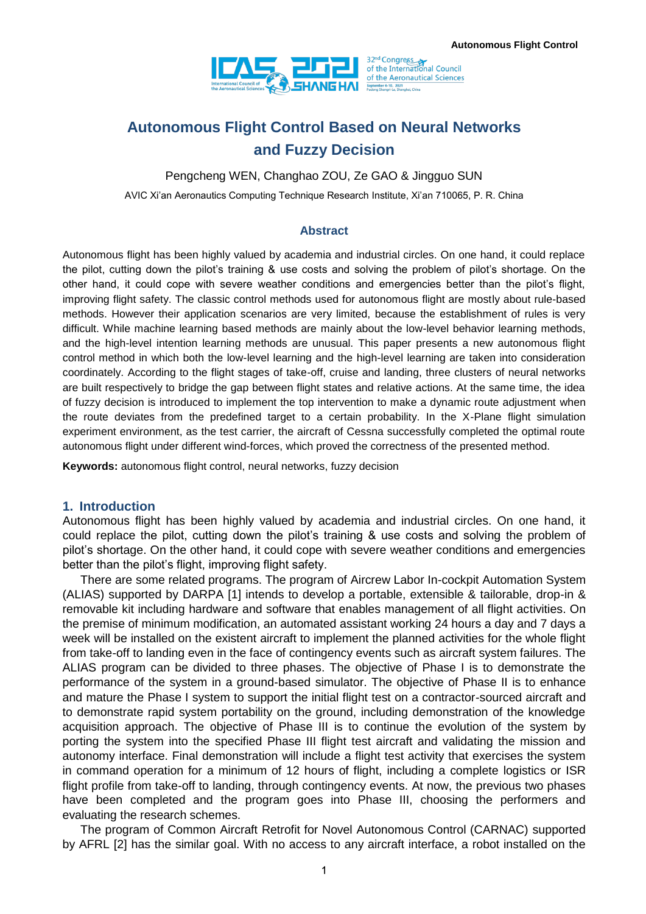

# **Autonomous Flight Control Based on Neural Networks and Fuzzy Decision**

Pengcheng WEN, Changhao ZOU, Ze GAO & Jingguo SUN

AVIC Xi'an Aeronautics Computing Technique Research Institute, Xi'an 710065, P. R. China

#### **Abstract**

Autonomous flight has been highly valued by academia and industrial circles. On one hand, it could replace the pilot, cutting down the pilot's training & use costs and solving the problem of pilot's shortage. On the other hand, it could cope with severe weather conditions and emergencies better than the pilot's flight, improving flight safety. The classic control methods used for autonomous flight are mostly about rule-based methods. However their application scenarios are very limited, because the establishment of rules is very difficult. While machine learning based methods are mainly about the low-level behavior learning methods, and the high-level intention learning methods are unusual. This paper presents a new autonomous flight control method in which both the low-level learning and the high-level learning are taken into consideration coordinately. According to the flight stages of take-off, cruise and landing, three clusters of neural networks are built respectively to bridge the gap between flight states and relative actions. At the same time, the idea of fuzzy decision is introduced to implement the top intervention to make a dynamic route adjustment when the route deviates from the predefined target to a certain probability. In the X-Plane flight simulation experiment environment, as the test carrier, the aircraft of Cessna successfully completed the optimal route autonomous flight under different wind-forces, which proved the correctness of the presented method.

**Keywords:** autonomous flight control, neural networks, fuzzy decision

#### **1. Introduction**

Autonomous flight has been highly valued by academia and industrial circles. On one hand, it could replace the pilot, cutting down the pilot's training & use costs and solving the problem of pilot's shortage. On the other hand, it could cope with severe weather conditions and emergencies better than the pilot's flight, improving flight safety.

There are some related programs. The program of Aircrew Labor In-cockpit Automation System (ALIAS) supported by DARPA [1] intends to develop a portable, extensible & tailorable, drop-in & removable kit including hardware and software that enables management of all flight activities. On the premise of minimum modification, an automated assistant working 24 hours a day and 7 days a week will be installed on the existent aircraft to implement the planned activities for the whole flight from take-off to landing even in the face of contingency events such as aircraft system failures. The ALIAS program can be divided to three phases. The objective of Phase I is to demonstrate the performance of the system in a ground-based simulator. The objective of Phase II is to enhance and mature the Phase I system to support the initial flight test on a contractor-sourced aircraft and to demonstrate rapid system portability on the ground, including demonstration of the knowledge acquisition approach. The objective of Phase III is to continue the evolution of the system by porting the system into the specified Phase III flight test aircraft and validating the mission and autonomy interface. Final demonstration will include a flight test activity that exercises the system in command operation for a minimum of 12 hours of flight, including a complete logistics or ISR flight profile from take-off to landing, through contingency events. At now, the previous two phases have been completed and the program goes into Phase III, choosing the performers and evaluating the research schemes.

The program of Common Aircraft Retrofit for Novel Autonomous Control (CARNAC) supported by AFRL [2] has the similar goal. With no access to any aircraft interface, a robot installed on the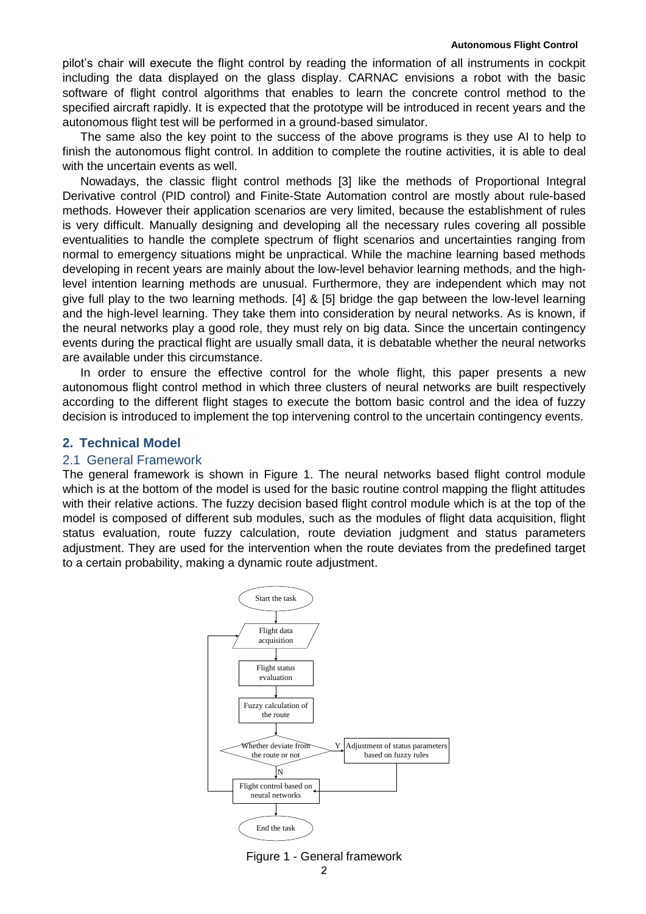pilot's chair will execute the flight control by reading the information of all instruments in cockpit including the data displayed on the glass display. CARNAC envisions a robot with the basic software of flight control algorithms that enables to learn the concrete control method to the specified aircraft rapidly. It is expected that the prototype will be introduced in recent years and the autonomous flight test will be performed in a ground-based simulator.

The same also the key point to the success of the above programs is they use AI to help to finish the autonomous flight control. In addition to complete the routine activities, it is able to deal with the uncertain events as well.

Nowadays, the classic flight control methods [3] like the methods of Proportional Integral Derivative control (PID control) and Finite-State Automation control are mostly about rule-based methods. However their application scenarios are very limited, because the establishment of rules is very difficult. Manually designing and developing all the necessary rules covering all possible eventualities to handle the complete spectrum of flight scenarios and uncertainties ranging from normal to emergency situations might be unpractical. While the machine learning based methods developing in recent years are mainly about the low-level behavior learning methods, and the highlevel intention learning methods are unusual. Furthermore, they are independent which may not give full play to the two learning methods. [4] & [5] bridge the gap between the low-level learning and the high-level learning. They take them into consideration by neural networks. As is known, if the neural networks play a good role, they must rely on big data. Since the uncertain contingency events during the practical flight are usually small data, it is debatable whether the neural networks are available under this circumstance.

In order to ensure the effective control for the whole flight, this paper presents a new autonomous flight control method in which three clusters of neural networks are built respectively according to the different flight stages to execute the bottom basic control and the idea of fuzzy decision is introduced to implement the top intervening control to the uncertain contingency events.

#### **2. Technical Model**

#### 2.1 General Framework

The general framework is shown in Figure 1. The neural networks based flight control module which is at the bottom of the model is used for the basic routine control mapping the flight attitudes with their relative actions. The fuzzy decision based flight control module which is at the top of the model is composed of different sub modules, such as the modules of flight data acquisition, flight status evaluation, route fuzzy calculation, route deviation judgment and status parameters adjustment. They are used for the intervention when the route deviates from the predefined target to a certain probability, making a dynamic route adjustment.

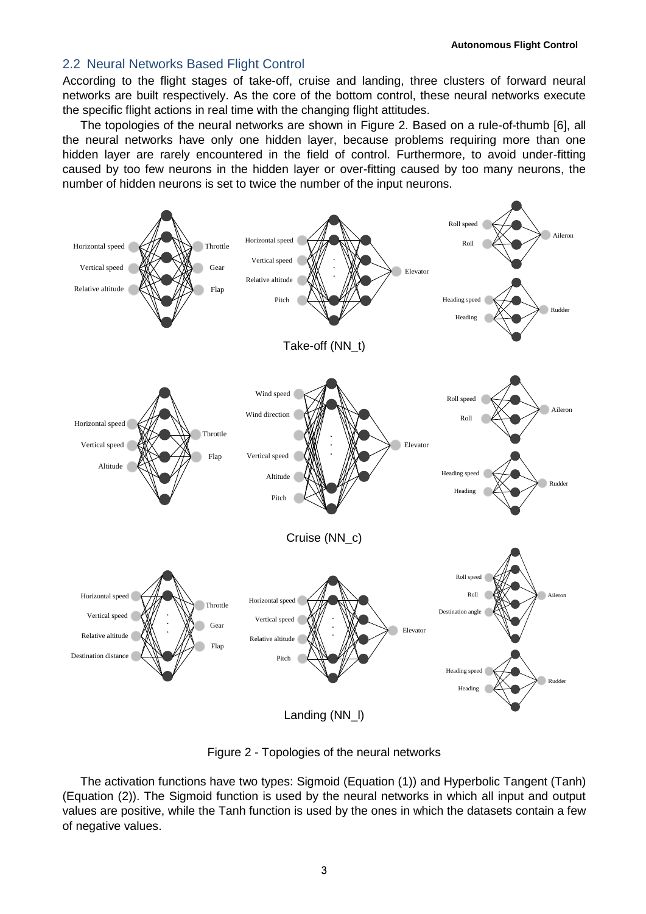#### 2.2 Neural Networks Based Flight Control

According to the flight stages of take-off, cruise and landing, three clusters of forward neural networks are built respectively. As the core of the bottom control, these neural networks execute the specific flight actions in real time with the changing flight attitudes.

The topologies of the neural networks are shown in Figure 2. Based on a rule-of-thumb [6], all the neural networks have only one hidden layer, because problems requiring more than one hidden layer are rarely encountered in the field of control. Furthermore, to avoid under-fitting caused by too few neurons in the hidden layer or over-fitting caused by too many neurons, the number of hidden neurons is set to twice the number of the input neurons.



Figure 2 - Topologies of the neural networks

The activation functions have two types: Sigmoid (Equation (1)) and Hyperbolic Tangent (Tanh) (Equation (2)). The Sigmoid function is used by the neural networks in which all input and output values are positive, while the Tanh function is used by the ones in which the datasets contain a few of negative values.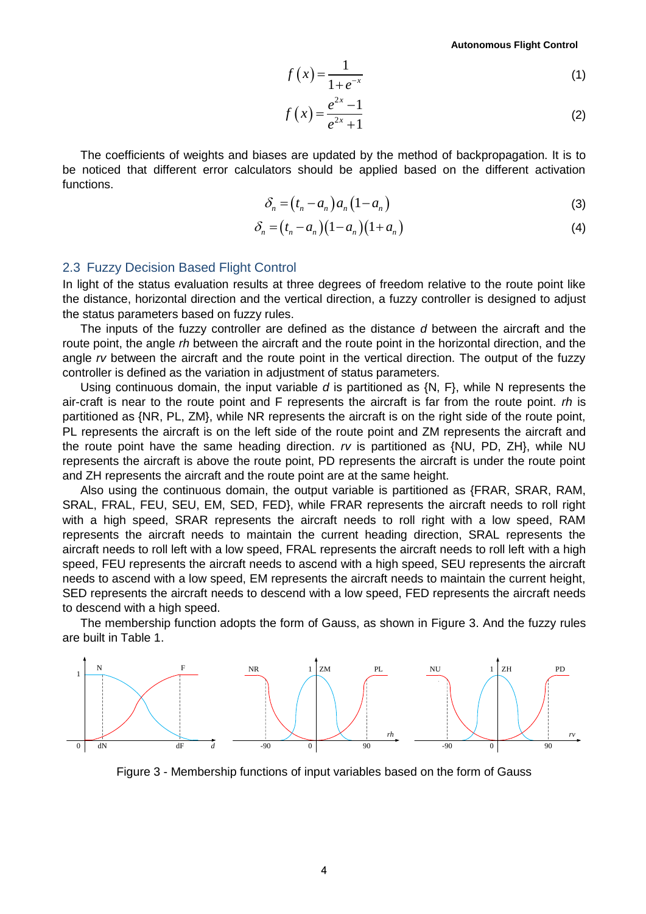**Autonomous Flight Control**

$$
f\left(x\right) = \frac{1}{1 + e^{-x}}\tag{1}
$$

$$
f(x) = \frac{e^{2x} - 1}{e^{2x} + 1}
$$
 (2)

The coefficients of weights and biases are updated by the method of backpropagation. It is to be noticed that different error calculators should be applied based on the different activation functions.

$$
\delta_n = (t_n - a_n) a_n (1 - a_n) \tag{3}
$$

$$
\delta_n = (t_n - a_n)(1 - a_n)(1 + a_n)
$$
\n(4)

#### 2.3 Fuzzy Decision Based Flight Control

In light of the status evaluation results at three degrees of freedom relative to the route point like the distance, horizontal direction and the vertical direction, a fuzzy controller is designed to adjust the status parameters based on fuzzy rules.

The inputs of the fuzzy controller are defined as the distance *d* between the aircraft and the route point, the angle *rh* between the aircraft and the route point in the horizontal direction, and the angle *rv* between the aircraft and the route point in the vertical direction. The output of the fuzzy controller is defined as the variation in adjustment of status parameters.

Using continuous domain, the input variable *d* is partitioned as {N, F}, while N represents the air-craft is near to the route point and F represents the aircraft is far from the route point. *rh* is partitioned as {NR, PL, ZM}, while NR represents the aircraft is on the right side of the route point, PL represents the aircraft is on the left side of the route point and ZM represents the aircraft and the route point have the same heading direction. *rv* is partitioned as {NU, PD, ZH}, while NU represents the aircraft is above the route point, PD represents the aircraft is under the route point and ZH represents the aircraft and the route point are at the same height.

Also using the continuous domain, the output variable is partitioned as {FRAR, SRAR, RAM, SRAL, FRAL, FEU, SEU, EM, SED, FED}, while FRAR represents the aircraft needs to roll right with a high speed, SRAR represents the aircraft needs to roll right with a low speed, RAM represents the aircraft needs to maintain the current heading direction, SRAL represents the aircraft needs to roll left with a low speed, FRAL represents the aircraft needs to roll left with a high speed, FEU represents the aircraft needs to ascend with a high speed, SEU represents the aircraft needs to ascend with a low speed, EM represents the aircraft needs to maintain the current height, SED represents the aircraft needs to descend with a low speed, FED represents the aircraft needs to descend with a high speed.

The membership function adopts the form of Gauss, as shown in Figure 3. And the fuzzy rules are built in Table 1.



Figure 3 - Membership functions of input variables based on the form of Gauss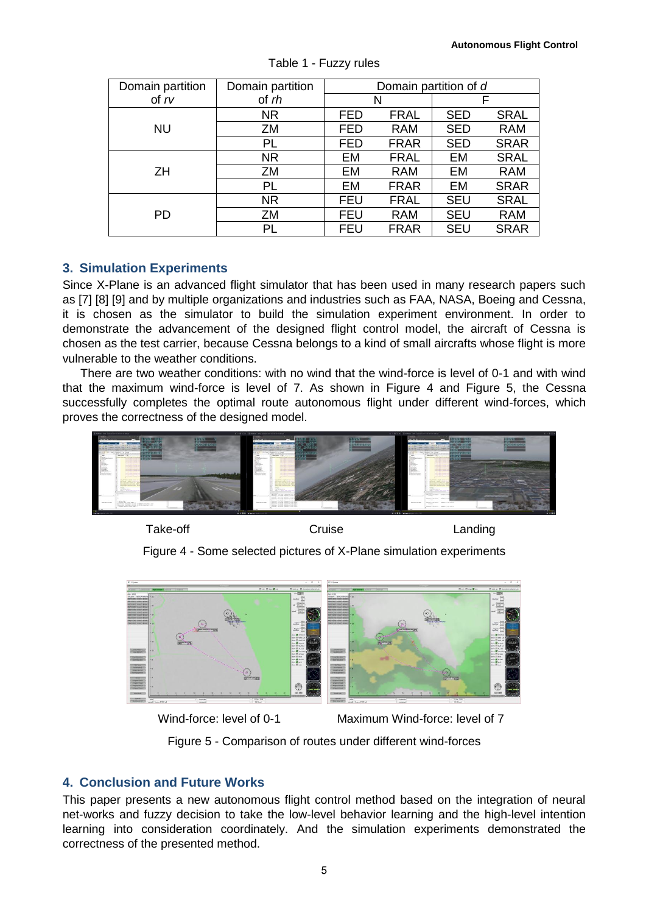| Domain partition | Domain partition | Domain partition of d |             |            |             |
|------------------|------------------|-----------------------|-------------|------------|-------------|
| of $rv$          | of rh            | N                     |             | F          |             |
| <b>NU</b>        | NR.              | FED                   | <b>FRAL</b> | <b>SED</b> | <b>SRAL</b> |
|                  | ZM               | <b>FED</b>            | <b>RAM</b>  | <b>SED</b> | <b>RAM</b>  |
|                  | PL               | FED                   | <b>FRAR</b> | <b>SED</b> | <b>SRAR</b> |
| <b>ZH</b>        | <b>NR</b>        | EM                    | <b>FRAL</b> | EM         | <b>SRAL</b> |
|                  | ZM               | EM                    | <b>RAM</b>  | EM         | <b>RAM</b>  |
|                  | <b>PL</b>        | EM                    | <b>FRAR</b> | EM         | <b>SRAR</b> |
| <b>PD</b>        | NR.              | <b>FEU</b>            | <b>FRAL</b> | <b>SEU</b> | <b>SRAL</b> |
|                  | ZM               | <b>FEU</b>            | <b>RAM</b>  | <b>SEU</b> | <b>RAM</b>  |
|                  | PL               | <b>FEU</b>            | <b>FRAR</b> | <b>SEU</b> | <b>SRAR</b> |

Table 1 - Fuzzy rules

## **3. Simulation Experiments**

Since X-Plane is an advanced flight simulator that has been used in many research papers such as [7] [8] [9] and by multiple organizations and industries such as FAA, NASA, Boeing and Cessna, it is chosen as the simulator to build the simulation experiment environment. In order to demonstrate the advancement of the designed flight control model, the aircraft of Cessna is chosen as the test carrier, because Cessna belongs to a kind of small aircrafts whose flight is more vulnerable to the weather conditions.

There are two weather conditions: with no wind that the wind-force is level of 0-1 and with wind that the maximum wind-force is level of 7. As shown in Figure 4 and Figure 5, the Cessna successfully completes the optimal route autonomous flight under different wind-forces, which proves the correctness of the designed model.



Take-off Cruise Cruise Cruise Landing

Figure 4 - Some selected pictures of X-Plane simulation experiments



Wind-force: level of 0-1 Maximum Wind-force: level of 7

Figure 5 - Comparison of routes under different wind-forces

# **4. Conclusion and Future Works**

This paper presents a new autonomous flight control method based on the integration of neural net-works and fuzzy decision to take the low-level behavior learning and the high-level intention learning into consideration coordinately. And the simulation experiments demonstrated the correctness of the presented method.